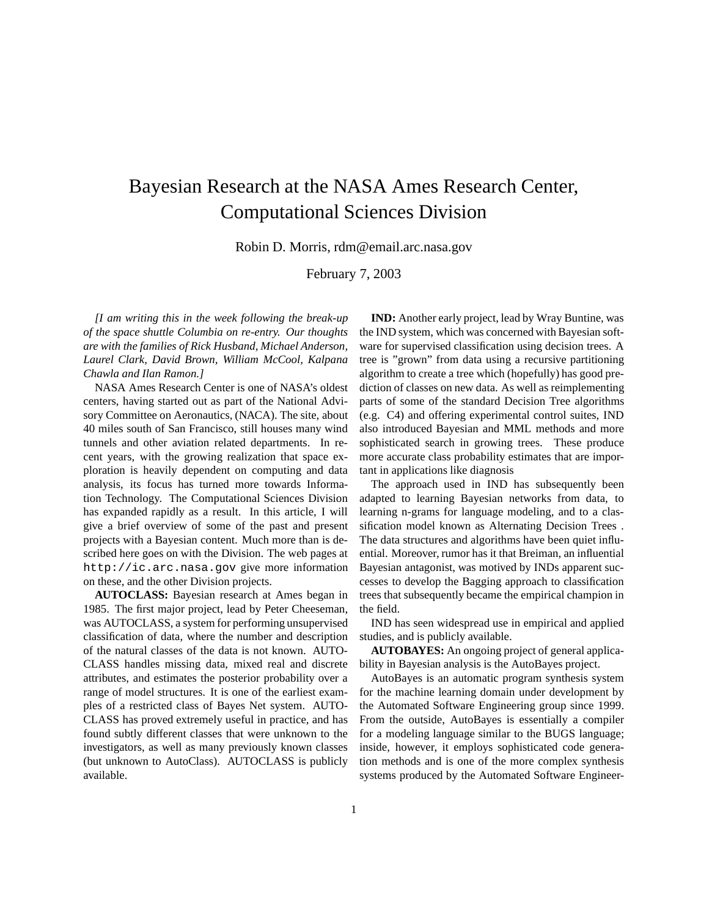## Bayesian Research at the NASA Ames Research Center, Computational Sciences Division

Robin D. Morris, rdm@email.arc.nasa.gov

February 7, 2003

*[I am writing this in the week following the break-up of the space shuttle Columbia on re-entry. Our thoughts are with the families of Rick Husband, Michael Anderson, Laurel Clark, David Brown, William McCool, Kalpana Chawla and Ilan Ramon.]*

NASA Ames Research Center is one of NASA's oldest centers, having started out as part of the National Advisory Committee on Aeronautics, (NACA). The site, about 40 miles south of San Francisco, still houses many wind tunnels and other aviation related departments. In recent years, with the growing realization that space exploration is heavily dependent on computing and data analysis, its focus has turned more towards Information Technology. The Computational Sciences Division has expanded rapidly as a result. In this article, I will give a brief overview of some of the past and present projects with a Bayesian content. Much more than is described here goes on with the Division. The web pages at http://ic.arc.nasa.gov give more information on these, and the other Division projects.

**AUTOCLASS:** Bayesian research at Ames began in 1985. The first major project, lead by Peter Cheeseman, was AUTOCLASS, a system for performing unsupervised classification of data, where the number and description of the natural classes of the data is not known. AUTO-CLASS handles missing data, mixed real and discrete attributes, and estimates the posterior probability over a range of model structures. It is one of the earliest examples of a restricted class of Bayes Net system. AUTO-CLASS has proved extremely useful in practice, and has found subtly different classes that were unknown to the investigators, as well as many previously known classes (but unknown to AutoClass). AUTOCLASS is publicly available.

**IND:** Another early project, lead by Wray Buntine, was the IND system, which was concerned with Bayesian software for supervised classification using decision trees. A tree is "grown" from data using a recursive partitioning algorithm to create a tree which (hopefully) has good prediction of classes on new data. As well as reimplementing parts of some of the standard Decision Tree algorithms (e.g. C4) and offering experimental control suites, IND also introduced Bayesian and MML methods and more sophisticated search in growing trees. These produce more accurate class probability estimates that are important in applications like diagnosis

The approach used in IND has subsequently been adapted to learning Bayesian networks from data, to learning n-grams for language modeling, and to a classification model known as Alternating Decision Trees . The data structures and algorithms have been quiet influential. Moreover, rumor has it that Breiman, an influential Bayesian antagonist, was motived by INDs apparent successes to develop the Bagging approach to classification trees that subsequently became the empirical champion in the field.

IND has seen widespread use in empirical and applied studies, and is publicly available.

**AUTOBAYES:** An ongoing project of general applicability in Bayesian analysis is the AutoBayes project.

AutoBayes is an automatic program synthesis system for the machine learning domain under development by the Automated Software Engineering group since 1999. From the outside, AutoBayes is essentially a compiler for a modeling language similar to the BUGS language; inside, however, it employs sophisticated code generation methods and is one of the more complex synthesis systems produced by the Automated Software Engineer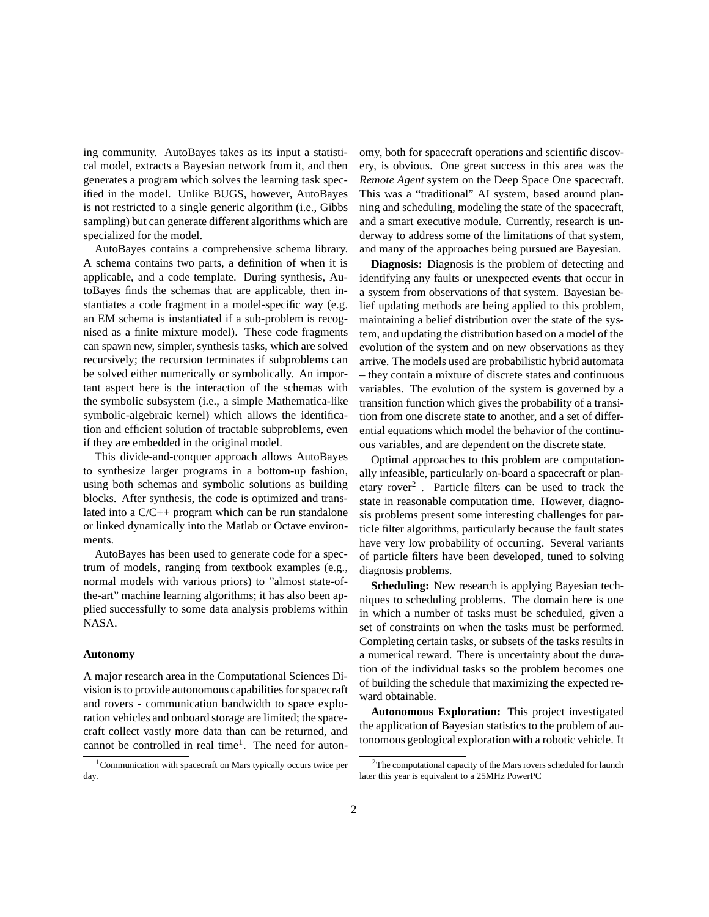ing community. AutoBayes takes as its input a statistical model, extracts a Bayesian network from it, and then generates a program which solves the learning task specified in the model. Unlike BUGS, however, AutoBayes is not restricted to a single generic algorithm (i.e., Gibbs sampling) but can generate different algorithms which are specialized for the model.

AutoBayes contains a comprehensive schema library. A schema contains two parts, a definition of when it is applicable, and a code template. During synthesis, AutoBayes finds the schemas that are applicable, then instantiates a code fragment in a model-specific way (e.g. an EM schema is instantiated if a sub-problem is recognised as a finite mixture model). These code fragments can spawn new, simpler, synthesis tasks, which are solved recursively; the recursion terminates if subproblems can be solved either numerically or symbolically. An important aspect here is the interaction of the schemas with the symbolic subsystem (i.e., a simple Mathematica-like symbolic-algebraic kernel) which allows the identification and efficient solution of tractable subproblems, even if they are embedded in the original model.

This divide-and-conquer approach allows AutoBayes to synthesize larger programs in a bottom-up fashion, using both schemas and symbolic solutions as building blocks. After synthesis, the code is optimized and translated into a  $C/C++$  program which can be run standalone or linked dynamically into the Matlab or Octave environments.

AutoBayes has been used to generate code for a spectrum of models, ranging from textbook examples (e.g., normal models with various priors) to "almost state-ofthe-art" machine learning algorithms; it has also been applied successfully to some data analysis problems within NASA.

## **Autonomy**

A major research area in the Computational Sciences Division is to provide autonomous capabilities for spacecraft and rovers - communication bandwidth to space exploration vehicles and onboard storage are limited; the spacecraft collect vastly more data than can be returned, and cannot be controlled in real time<sup>1</sup>. The need for autonomy, both for spacecraft operations and scientific discovery, is obvious. One great success in this area was the *Remote Agent* system on the Deep Space One spacecraft. This was a "traditional" AI system, based around planning and scheduling, modeling the state of the spacecraft, and a smart executive module. Currently, research is underway to address some of the limitations of that system, and many of the approaches being pursued are Bayesian.

**Diagnosis:** Diagnosis is the problem of detecting and identifying any faults or unexpected events that occur in a system from observations of that system. Bayesian belief updating methods are being applied to this problem, maintaining a belief distribution over the state of the system, and updating the distribution based on a model of the evolution of the system and on new observations as they arrive. The models used are probabilistic hybrid automata – they contain a mixture of discrete states and continuous variables. The evolution of the system is governed by a transition function which gives the probability of a transition from one discrete state to another, and a set of differential equations which model the behavior of the continuous variables, and are dependent on the discrete state.

Optimal approaches to this problem are computationally infeasible, particularly on-board a spacecraft or planetary rover<sup>2</sup>. Particle filters can be used to track the state in reasonable computation time. However, diagnosis problems present some interesting challenges for particle filter algorithms, particularly because the fault states have very low probability of occurring. Several variants of particle filters have been developed, tuned to solving diagnosis problems.

**Scheduling:** New research is applying Bayesian techniques to scheduling problems. The domain here is one in which a number of tasks must be scheduled, given a set of constraints on when the tasks must be performed. Completing certain tasks, or subsets of the tasks results in a numerical reward. There is uncertainty about the duration of the individual tasks so the problem becomes one of building the schedule that maximizing the expected reward obtainable.

**Autonomous Exploration:** This project investigated the application of Bayesian statistics to the problem of autonomous geological exploration with a robotic vehicle. It

 $1$ Communication with spacecraft on Mars typically occurs twice per day.

 $2$ The computational capacity of the Mars rovers scheduled for launch later this year is equivalent to a 25MHz PowerPC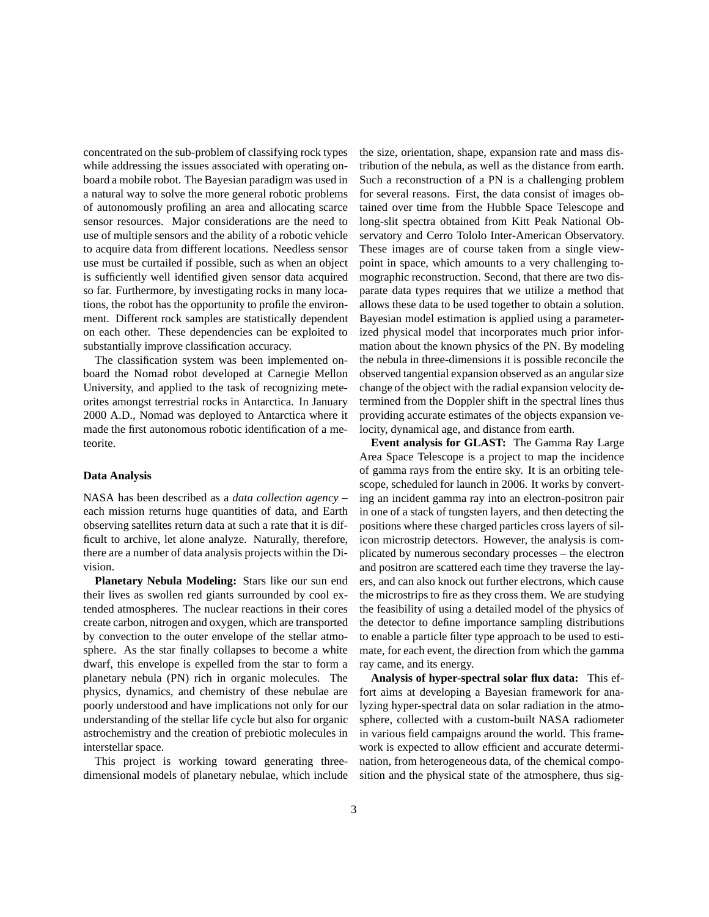concentrated on the sub-problem of classifying rock types while addressing the issues associated with operating onboard a mobile robot. The Bayesian paradigm was used in a natural way to solve the more general robotic problems of autonomously profiling an area and allocating scarce sensor resources. Major considerations are the need to use of multiple sensors and the ability of a robotic vehicle to acquire data from different locations. Needless sensor use must be curtailed if possible, such as when an object is sufficiently well identified given sensor data acquired so far. Furthermore, by investigating rocks in many locations, the robot has the opportunity to profile the environment. Different rock samples are statistically dependent on each other. These dependencies can be exploited to substantially improve classification accuracy.

The classification system was been implemented onboard the Nomad robot developed at Carnegie Mellon University, and applied to the task of recognizing meteorites amongst terrestrial rocks in Antarctica. In January 2000 A.D., Nomad was deployed to Antarctica where it made the first autonomous robotic identification of a meteorite.

## **Data Analysis**

NASA has been described as a *data collection agency* – each mission returns huge quantities of data, and Earth observing satellites return data at such a rate that it is difficult to archive, let alone analyze. Naturally, therefore, there are a number of data analysis projects within the Division.

**Planetary Nebula Modeling:** Stars like our sun end their lives as swollen red giants surrounded by cool extended atmospheres. The nuclear reactions in their cores create carbon, nitrogen and oxygen, which are transported by convection to the outer envelope of the stellar atmosphere. As the star finally collapses to become a white dwarf, this envelope is expelled from the star to form a planetary nebula (PN) rich in organic molecules. The physics, dynamics, and chemistry of these nebulae are poorly understood and have implications not only for our understanding of the stellar life cycle but also for organic astrochemistry and the creation of prebiotic molecules in interstellar space.

This project is working toward generating threedimensional models of planetary nebulae, which include the size, orientation, shape, expansion rate and mass distribution of the nebula, as well as the distance from earth. Such a reconstruction of a PN is a challenging problem for several reasons. First, the data consist of images obtained over time from the Hubble Space Telescope and long-slit spectra obtained from Kitt Peak National Observatory and Cerro Tololo Inter-American Observatory. These images are of course taken from a single viewpoint in space, which amounts to a very challenging tomographic reconstruction. Second, that there are two disparate data types requires that we utilize a method that allows these data to be used together to obtain a solution. Bayesian model estimation is applied using a parameterized physical model that incorporates much prior information about the known physics of the PN. By modeling the nebula in three-dimensions it is possible reconcile the observed tangential expansion observed as an angularsize change of the object with the radial expansion velocity determined from the Doppler shift in the spectral lines thus providing accurate estimates of the objects expansion velocity, dynamical age, and distance from earth.

**Event analysis for GLAST:** The Gamma Ray Large Area Space Telescope is a project to map the incidence of gamma rays from the entire sky. It is an orbiting telescope, scheduled for launch in 2006. It works by converting an incident gamma ray into an electron-positron pair in one of a stack of tungsten layers, and then detecting the positions where these charged particles cross layers of silicon microstrip detectors. However, the analysis is complicated by numerous secondary processes – the electron and positron are scattered each time they traverse the layers, and can also knock out further electrons, which cause the microstrips to fire as they cross them. We are studying the feasibility of using a detailed model of the physics of the detector to define importance sampling distributions to enable a particle filter type approach to be used to estimate, for each event, the direction from which the gamma ray came, and its energy.

**Analysis of hyper-spectral solar flux data:** This effort aims at developing a Bayesian framework for analyzing hyper-spectral data on solar radiation in the atmosphere, collected with a custom-built NASA radiometer in various field campaigns around the world. This framework is expected to allow efficient and accurate determination, from heterogeneous data, of the chemical composition and the physical state of the atmosphere, thus sig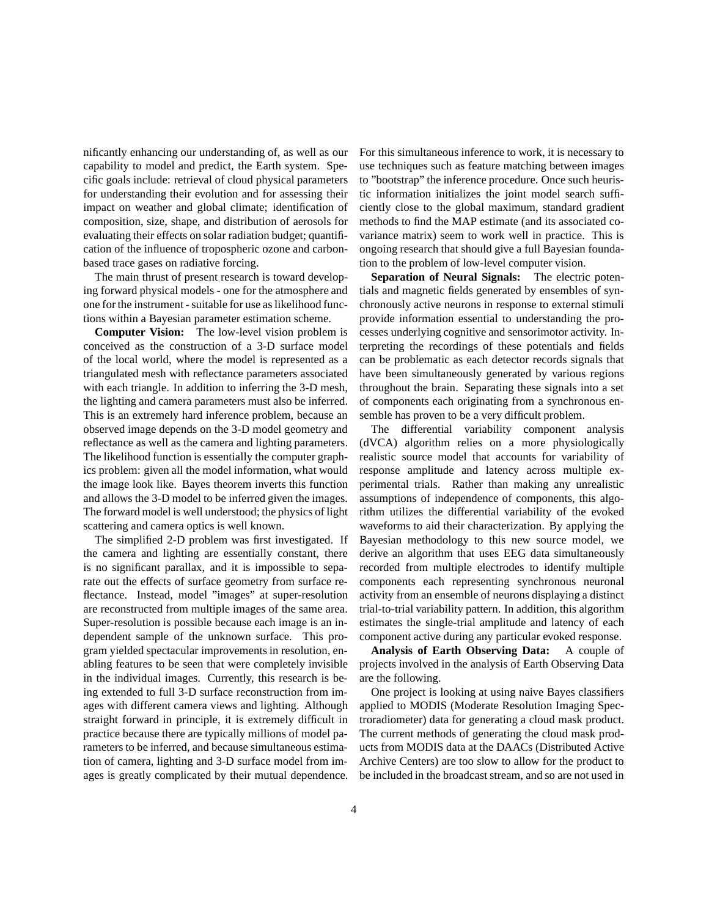nificantly enhancing our understanding of, as well as our capability to model and predict, the Earth system. Specific goals include: retrieval of cloud physical parameters for understanding their evolution and for assessing their impact on weather and global climate; identification of composition, size, shape, and distribution of aerosols for evaluating their effects on solar radiation budget; quantification of the influence of tropospheric ozone and carbonbased trace gases on radiative forcing.

The main thrust of present research is toward developing forward physical models - one for the atmosphere and one for the instrument - suitable for use as likelihood functions within a Bayesian parameter estimation scheme.

**Computer Vision:** The low-level vision problem is conceived as the construction of a 3-D surface model of the local world, where the model is represented as a triangulated mesh with reflectance parameters associated with each triangle. In addition to inferring the 3-D mesh, the lighting and camera parameters must also be inferred. This is an extremely hard inference problem, because an observed image depends on the 3-D model geometry and reflectance as well as the camera and lighting parameters. The likelihood function is essentially the computer graphics problem: given all the model information, what would the image look like. Bayes theorem inverts this function and allows the 3-D model to be inferred given the images. The forward model is well understood; the physics of light scattering and camera optics is well known.

The simplified 2-D problem was first investigated. If the camera and lighting are essentially constant, there is no significant parallax, and it is impossible to separate out the effects of surface geometry from surface reflectance. Instead, model "images" at super-resolution are reconstructed from multiple images of the same area. Super-resolution is possible because each image is an independent sample of the unknown surface. This program yielded spectacular improvements in resolution, enabling features to be seen that were completely invisible in the individual images. Currently, this research is being extended to full 3-D surface reconstruction from images with different camera views and lighting. Although straight forward in principle, it is extremely difficult in practice because there are typically millions of model parameters to be inferred, and because simultaneous estimation of camera, lighting and 3-D surface model from images is greatly complicated by their mutual dependence. For this simultaneous inference to work, it is necessary to use techniques such as feature matching between images to "bootstrap" the inference procedure. Once such heuristic information initializes the joint model search sufficiently close to the global maximum, standard gradient methods to find the MAP estimate (and its associated covariance matrix) seem to work well in practice. This is ongoing research that should give a full Bayesian foundation to the problem of low-level computer vision.

**Separation of Neural Signals:** The electric potentials and magnetic fields generated by ensembles of synchronously active neurons in response to external stimuli provide information essential to understanding the processes underlying cognitive and sensorimotor activity. Interpreting the recordings of these potentials and fields can be problematic as each detector records signals that have been simultaneously generated by various regions throughout the brain. Separating these signals into a set of components each originating from a synchronous ensemble has proven to be a very difficult problem.

The differential variability component analysis (dVCA) algorithm relies on a more physiologically realistic source model that accounts for variability of response amplitude and latency across multiple experimental trials. Rather than making any unrealistic assumptions of independence of components, this algorithm utilizes the differential variability of the evoked waveforms to aid their characterization. By applying the Bayesian methodology to this new source model, we derive an algorithm that uses EEG data simultaneously recorded from multiple electrodes to identify multiple components each representing synchronous neuronal activity from an ensemble of neurons displaying a distinct trial-to-trial variability pattern. In addition, this algorithm estimates the single-trial amplitude and latency of each component active during any particular evoked response.

**Analysis of Earth Observing Data:** A couple of projects involved in the analysis of Earth Observing Data are the following.

One project is looking at using naive Bayes classifiers applied to MODIS (Moderate Resolution Imaging Spectroradiometer) data for generating a cloud mask product. The current methods of generating the cloud mask products from MODIS data at the DAACs (Distributed Active Archive Centers) are too slow to allow for the product to be included in the broadcast stream, and so are not used in